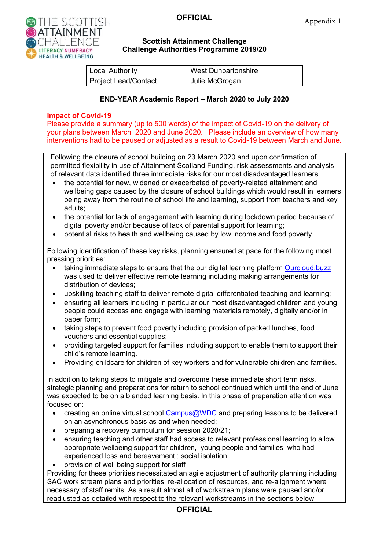

### **Scottish Attainment Challenge Challenge Authorities Programme 2019/20**

| <b>Local Authority</b> | <b>West Dunbartonshire</b> |
|------------------------|----------------------------|
| Project Lead/Contact   | Julie McGrogan             |

### **END-YEAR Academic Report – March 2020 to July 2020**

### **Impact of Covid-19**

Please provide a summary (up to 500 words) of the impact of Covid-19 on the delivery of your plans between March 2020 and June 2020. Please include an overview of how many interventions had to be paused or adjusted as a result to Covid-19 between March and June.

Following the closure of school building on 23 March 2020 and upon confirmation of permitted flexibility in use of Attainment Scotland Funding, risk assessments and analysis of relevant data identified three immediate risks for our most disadvantaged learners:

- the potential for new, widened or exacerbated of poverty-related attainment and wellbeing gaps caused by the closure of school buildings which would result in learners being away from the routine of school life and learning, support from teachers and key adults;
- the potential for lack of engagement with learning during lockdown period because of digital poverty and/or because of lack of parental support for learning;
- potential risks to health and wellbeing caused by low income and food poverty.

Following identification of these key risks, planning ensured at pace for the following most pressing priorities:

- taking immediate steps to ensure that the our digital learning platform [Ourcloud.buzz](https://sites.google.com/ourcloud.buzz/public) was used to deliver effective remote learning including making arrangements for distribution of devices;
- upskilling teaching staff to deliver remote digital differentiated teaching and learning;
- ensuring all learners including in particular our most disadvantaged children and young people could access and engage with learning materials remotely, digitally and/or in paper form;
- taking steps to prevent food poverty including provision of packed lunches, food vouchers and essential supplies;
- providing targeted support for families including support to enable them to support their child's remote learning.
- Providing childcare for children of key workers and for vulnerable children and families.

In addition to taking steps to mitigate and overcome these immediate short term risks, strategic planning and preparations for return to school continued which until the end of June was expected to be on a blended learning basis. In this phase of preparation attention was focused on:

- creating an online virtual school  $Campus@WDC$  and preparing lessons to be delivered on an asynchronous basis as and when needed;
- preparing a recovery curriculum for session 2020/21;
- ensuring teaching and other staff had access to relevant professional learning to allow appropriate wellbeing support for children, young people and families who had experienced loss and bereavement ; social isolation
- provision of well being support for staff

Providing for these priorities necessitated an agile adjustment of authority planning including SAC work stream plans and priorities, re-allocation of resources, and re-alignment where necessary of staff remits. As a result almost all of workstream plans were paused and/or readjusted as detailed with respect to the relevant workstreams in the sections below.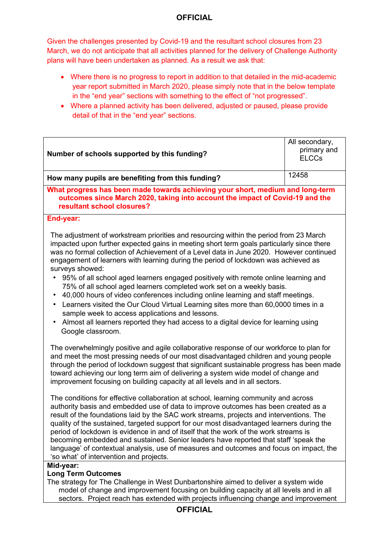Given the challenges presented by Covid-19 and the resultant school closures from 23 March, we do not anticipate that all activities planned for the delivery of Challenge Authority plans will have been undertaken as planned. As a result we ask that:

- Where there is no progress to report in addition to that detailed in the mid-academic year report submitted in March 2020, please simply note that in the below template in the "end year" sections with something to the effect of "not progressed".
- Where a planned activity has been delivered, adjusted or paused, please provide detail of that in the "end year" sections.

| All secondary,<br>primary and<br>Number of schools supported by this funding?<br><b>ELCCs</b><br>12458<br>How many pupils are benefiting from this funding?<br>What progress has been made towards achieving your short, medium and long-term<br>outcomes since March 2020, taking into account the impact of Covid-19 and the<br>resultant school closures?<br>End-year:<br>The adjustment of workstream priorities and resourcing within the period from 23 March<br>impacted upon further expected gains in meeting short term goals particularly since there<br>was no formal collection of Achievement of a Level data in June 2020. However continued<br>engagement of learners with learning during the period of lockdown was achieved as<br>surveys showed:<br>95% of all school aged learners engaged positively with remote online learning and<br>75% of all school aged learners completed work set on a weekly basis.<br>40,000 hours of video conferences including online learning and staff meetings.<br>$\bullet$<br>Learners visited the Our Cloud Virtual Learning sites more than 60,0000 times in a<br>$\bullet$<br>sample week to access applications and lessons.<br>Almost all learners reported they had access to a digital device for learning using<br>$\bullet$<br>Google classroom.<br>The overwhelmingly positive and agile collaborative response of our workforce to plan for<br>and meet the most pressing needs of our most disadvantaged children and young people<br>through the period of lockdown suggest that significant sustainable progress has been made<br>toward achieving our long term aim of delivering a system wide model of change and<br>improvement focusing on building capacity at all levels and in all sectors.<br>The conditions for effective collaboration at school, learning community and across<br>authority basis and embedded use of data to improve outcomes has been created as a<br>result of the foundations laid by the SAC work streams, projects and interventions. The<br>quality of the sustained, targeted support for our most disadvantaged learners during the<br>period of lockdown is evidence in and of itself that the work of the work streams is<br>becoming embedded and sustained. Senior leaders have reported that staff 'speak the<br>language' of contextual analysis, use of measures and outcomes and focus on impact, the<br>'so what' of intervention and projects.<br>Mid-year:<br><b>Long Term Outcomes</b> |                                                                                      |  |
|----------------------------------------------------------------------------------------------------------------------------------------------------------------------------------------------------------------------------------------------------------------------------------------------------------------------------------------------------------------------------------------------------------------------------------------------------------------------------------------------------------------------------------------------------------------------------------------------------------------------------------------------------------------------------------------------------------------------------------------------------------------------------------------------------------------------------------------------------------------------------------------------------------------------------------------------------------------------------------------------------------------------------------------------------------------------------------------------------------------------------------------------------------------------------------------------------------------------------------------------------------------------------------------------------------------------------------------------------------------------------------------------------------------------------------------------------------------------------------------------------------------------------------------------------------------------------------------------------------------------------------------------------------------------------------------------------------------------------------------------------------------------------------------------------------------------------------------------------------------------------------------------------------------------------------------------------------------------------------------------------------------------------------------------------------------------------------------------------------------------------------------------------------------------------------------------------------------------------------------------------------------------------------------------------------------------------------------------------------------------------------------------------------------------------------------------------------------------------------------------------------------|--------------------------------------------------------------------------------------|--|
|                                                                                                                                                                                                                                                                                                                                                                                                                                                                                                                                                                                                                                                                                                                                                                                                                                                                                                                                                                                                                                                                                                                                                                                                                                                                                                                                                                                                                                                                                                                                                                                                                                                                                                                                                                                                                                                                                                                                                                                                                                                                                                                                                                                                                                                                                                                                                                                                                                                                                                                |                                                                                      |  |
|                                                                                                                                                                                                                                                                                                                                                                                                                                                                                                                                                                                                                                                                                                                                                                                                                                                                                                                                                                                                                                                                                                                                                                                                                                                                                                                                                                                                                                                                                                                                                                                                                                                                                                                                                                                                                                                                                                                                                                                                                                                                                                                                                                                                                                                                                                                                                                                                                                                                                                                |                                                                                      |  |
|                                                                                                                                                                                                                                                                                                                                                                                                                                                                                                                                                                                                                                                                                                                                                                                                                                                                                                                                                                                                                                                                                                                                                                                                                                                                                                                                                                                                                                                                                                                                                                                                                                                                                                                                                                                                                                                                                                                                                                                                                                                                                                                                                                                                                                                                                                                                                                                                                                                                                                                |                                                                                      |  |
|                                                                                                                                                                                                                                                                                                                                                                                                                                                                                                                                                                                                                                                                                                                                                                                                                                                                                                                                                                                                                                                                                                                                                                                                                                                                                                                                                                                                                                                                                                                                                                                                                                                                                                                                                                                                                                                                                                                                                                                                                                                                                                                                                                                                                                                                                                                                                                                                                                                                                                                |                                                                                      |  |
|                                                                                                                                                                                                                                                                                                                                                                                                                                                                                                                                                                                                                                                                                                                                                                                                                                                                                                                                                                                                                                                                                                                                                                                                                                                                                                                                                                                                                                                                                                                                                                                                                                                                                                                                                                                                                                                                                                                                                                                                                                                                                                                                                                                                                                                                                                                                                                                                                                                                                                                |                                                                                      |  |
|                                                                                                                                                                                                                                                                                                                                                                                                                                                                                                                                                                                                                                                                                                                                                                                                                                                                                                                                                                                                                                                                                                                                                                                                                                                                                                                                                                                                                                                                                                                                                                                                                                                                                                                                                                                                                                                                                                                                                                                                                                                                                                                                                                                                                                                                                                                                                                                                                                                                                                                |                                                                                      |  |
|                                                                                                                                                                                                                                                                                                                                                                                                                                                                                                                                                                                                                                                                                                                                                                                                                                                                                                                                                                                                                                                                                                                                                                                                                                                                                                                                                                                                                                                                                                                                                                                                                                                                                                                                                                                                                                                                                                                                                                                                                                                                                                                                                                                                                                                                                                                                                                                                                                                                                                                |                                                                                      |  |
|                                                                                                                                                                                                                                                                                                                                                                                                                                                                                                                                                                                                                                                                                                                                                                                                                                                                                                                                                                                                                                                                                                                                                                                                                                                                                                                                                                                                                                                                                                                                                                                                                                                                                                                                                                                                                                                                                                                                                                                                                                                                                                                                                                                                                                                                                                                                                                                                                                                                                                                |                                                                                      |  |
|                                                                                                                                                                                                                                                                                                                                                                                                                                                                                                                                                                                                                                                                                                                                                                                                                                                                                                                                                                                                                                                                                                                                                                                                                                                                                                                                                                                                                                                                                                                                                                                                                                                                                                                                                                                                                                                                                                                                                                                                                                                                                                                                                                                                                                                                                                                                                                                                                                                                                                                | The strategy for The Challenge in West Dunbartonshire aimed to deliver a system wide |  |

The strategy for The Challenge in West Dunbartonshire aimed to deliver a system wide model of change and improvement focusing on building capacity at all levels and in all sectors. Project reach has extended with projects influencing change and improvement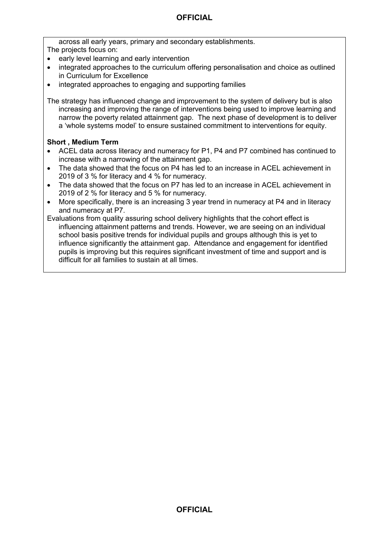across all early years, primary and secondary establishments.

The projects focus on:

- early level learning and early intervention
- integrated approaches to the curriculum offering personalisation and choice as outlined in Curriculum for Excellence
- integrated approaches to engaging and supporting families

The strategy has influenced change and improvement to the system of delivery but is also increasing and improving the range of interventions being used to improve learning and narrow the poverty related attainment gap. The next phase of development is to deliver a 'whole systems model' to ensure sustained commitment to interventions for equity.

### **Short , Medium Term**

- ACEL data across literacy and numeracy for P1, P4 and P7 combined has continued to increase with a narrowing of the attainment gap.
- The data showed that the focus on P4 has led to an increase in ACEL achievement in 2019 of 3 % for literacy and 4 % for numeracy.
- The data showed that the focus on P7 has led to an increase in ACEL achievement in 2019 of 2 % for literacy and 5 % for numeracy.
- More specifically, there is an increasing 3 year trend in numeracy at P4 and in literacy and numeracy at P7.

Evaluations from quality assuring school delivery highlights that the cohort effect is influencing attainment patterns and trends. However, we are seeing on an individual school basis positive trends for individual pupils and groups although this is yet to influence significantly the attainment gap. Attendance and engagement for identified pupils is improving but this requires significant investment of time and support and is difficult for all families to sustain at all times.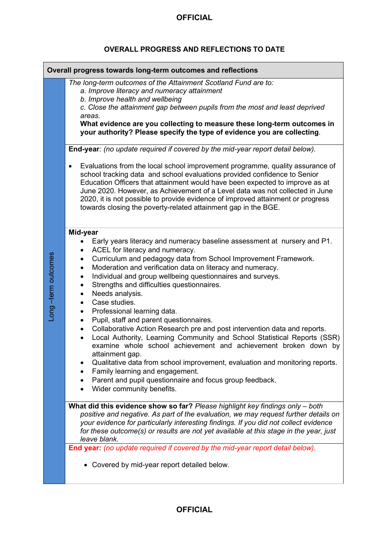# **OVERALL PROGRESS AND REFLECTIONS TO DATE**

|                   | Overall progress towards long-term outcomes and reflections                                                                                                                                                                                                                                                                                                                                                                                                                                  |
|-------------------|----------------------------------------------------------------------------------------------------------------------------------------------------------------------------------------------------------------------------------------------------------------------------------------------------------------------------------------------------------------------------------------------------------------------------------------------------------------------------------------------|
|                   | The long-term outcomes of the Attainment Scotland Fund are to:<br>a. Improve literacy and numeracy attainment<br>b. Improve health and wellbeing<br>c. Close the attainment gap between pupils from the most and least deprived<br>areas.<br>What evidence are you collecting to measure these long-term outcomes in<br>your authority? Please specify the type of evidence you are collecting.                                                                                              |
|                   | End-year: (no update required if covered by the mid-year report detail below).                                                                                                                                                                                                                                                                                                                                                                                                               |
|                   | Evaluations from the local school improvement programme, quality assurance of<br>$\bullet$<br>school tracking data and school evaluations provided confidence to Senior<br>Education Officers that attainment would have been expected to improve as at<br>June 2020. However, as Achievement of a Level data was not collected in June<br>2020, it is not possible to provide evidence of improved attainment or progress<br>towards closing the poverty-related attainment gap in the BGE. |
|                   | Mid-year                                                                                                                                                                                                                                                                                                                                                                                                                                                                                     |
|                   | Early years literacy and numeracy baseline assessment at nursery and P1.<br>ACEL for literacy and numeracy.                                                                                                                                                                                                                                                                                                                                                                                  |
|                   | Curriculum and pedagogy data from School Improvement Framework.                                                                                                                                                                                                                                                                                                                                                                                                                              |
| ong-term outcomes | Moderation and verification data on literacy and numeracy.<br>Individual and group wellbeing questionnaires and surveys.<br>٠                                                                                                                                                                                                                                                                                                                                                                |
|                   | Strengths and difficulties questionnaires.<br>$\bullet$                                                                                                                                                                                                                                                                                                                                                                                                                                      |
|                   | Needs analysis.<br>Case studies.<br>$\bullet$                                                                                                                                                                                                                                                                                                                                                                                                                                                |
|                   | Professional learning data.<br>٠<br>Pupil, staff and parent questionnaires.<br>$\bullet$                                                                                                                                                                                                                                                                                                                                                                                                     |
|                   | Collaborative Action Research pre and post intervention data and reports.<br>$\bullet$<br>Local Authority, Learning Community and School Statistical Reports (SSR)<br>examine whole school achievement and achievement broken down by<br>attainment gap.                                                                                                                                                                                                                                     |
|                   | Qualitative data from school improvement, evaluation and monitoring reports.                                                                                                                                                                                                                                                                                                                                                                                                                 |
|                   | Family learning and engagement.<br>Parent and pupil questionnaire and focus group feedback.                                                                                                                                                                                                                                                                                                                                                                                                  |
|                   | Wider community benefits.                                                                                                                                                                                                                                                                                                                                                                                                                                                                    |
|                   | What did this evidence show so far? Please highlight key findings only - both<br>positive and negative. As part of the evaluation, we may request further details on<br>your evidence for particularly interesting findings. If you did not collect evidence                                                                                                                                                                                                                                 |
|                   | for these outcome(s) or results are not yet available at this stage in the year, just<br>leave blank.                                                                                                                                                                                                                                                                                                                                                                                        |
|                   | End year: (no update required if covered by the mid-year report detail below).                                                                                                                                                                                                                                                                                                                                                                                                               |
|                   | • Covered by mid-year report detailed below.                                                                                                                                                                                                                                                                                                                                                                                                                                                 |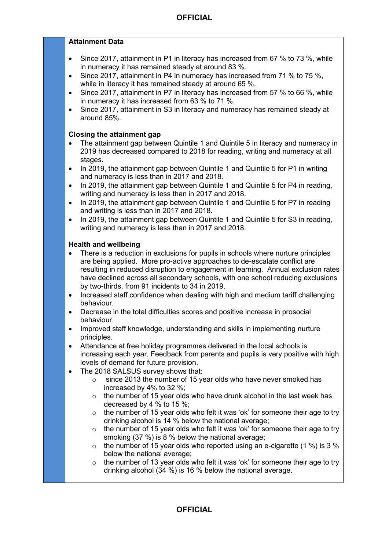### **Attainment Data**

- Since 2017, attainment in P1 in literacy has increased from 67 % to 73 %, while in numeracy it has remained steady at around 83 %.
- Since 2017, attainment in P4 in numeracy has increased from 71 % to 75 %. while in literacy it has remained steady at around 65 %.
- Since 2017, attainment in P7 in literacy has increased from 57 % to 66 %, while in numeracy it has increased from 63 % to 71 %.
- Since 2017, attainment in S3 in literacy and numeracy has remained steady at around 85%.

#### **Closing the attainment gap**

- The attainment gap between Quintile 1 and Quintile 5 in literacy and numeracy in 2019 has decreased compared to 2018 for reading, writing and numeracy at all stages.
- In 2019, the attainment gap between Quintile 1 and Quintile 5 for P1 in writing and numeracy is less than in 2017 and 2018.
- In 2019, the attainment gap between Quintile 1 and Quintile 5 for P4 in reading, writing and numeracy is less than in 2017 and 2018.
- In 2019, the attainment gap between Quintile 1 and Quintile 5 for P7 in reading and writing is less than in 2017 and 2018.
- In 2019, the attainment gap between Quintile 1 and Quintile 5 for S3 in reading. writing and numeracy is less than in 2017 and 2018.

#### **Health and wellbeing**

- There is a reduction in exclusions for pupils in schools where nurture principles are being applied. More pro-active approaches to de-escalate conflict are resulting in reduced disruption to engagement in learning. Annual exclusion rates have declined across all secondary schools, with one school reducing exclusions by two-thirds, from 91 incidents to 34 in 2019.
- Increased staff confidence when dealing with high and medium tariff challenging behaviour.
- Decrease in the total difficulties scores and positive increase in prosocial behaviour.
- Improved staff knowledge, understanding and skills in implementing nurture principles.
- Attendance at free holiday programmes delivered in the local schools is increasing each year. Feedback from parents and pupils is very positive with high levels of demand for future provision.
- The 2018 SALSUS survey shows that:
	- $\circ$  since 2013 the number of 15 year olds who have never smoked has increased by 4% to 32 %;
	- $\circ$  the number of 15 year olds who have drunk alcohol in the last week has decreased by 4 % to 15 %;
	- $\circ$  the number of 15 year olds who felt it was 'ok' for someone their age to try drinking alcohol is 14 % below the national average;
	- $\circ$  the number of 15 year olds who felt it was 'ok' for someone their age to try smoking (37 %) is 8 % below the national average;
	- $\circ$  the number of 15 year olds who reported using an e-cigarette (1 %) is 3 % below the national average;
	- $\circ$  the number of 13 year olds who felt it was 'ok' for someone their age to try drinking alcohol (34 %) is 16 % below the national average.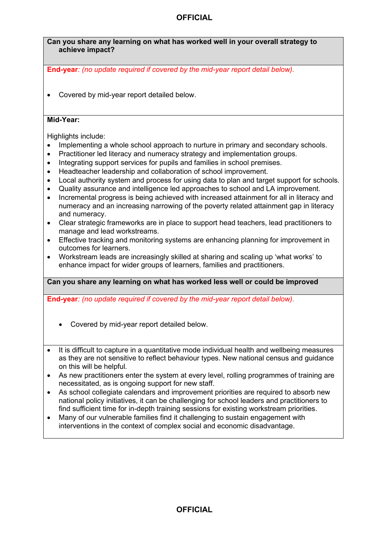### **Can you share any learning on what has worked well in your overall strategy to achieve impact?**

**End-year***: (no update required if covered by the mid-year report detail below).* 

• Covered by mid-year report detailed below.

### **Mid-Year:**

Highlights include:

- Implementing a whole school approach to nurture in primary and secondary schools.
- Practitioner led literacy and numeracy strategy and implementation groups.
- Integrating support services for pupils and families in school premises.
- Headteacher leadership and collaboration of school improvement.
- Local authority system and process for using data to plan and target support for schools.
- Quality assurance and intelligence led approaches to school and LA improvement.
- Incremental progress is being achieved with increased attainment for all in literacy and numeracy and an increasing narrowing of the poverty related attainment gap in literacy and numeracy.
- Clear strategic frameworks are in place to support head teachers, lead practitioners to manage and lead workstreams.
- Effective tracking and monitoring systems are enhancing planning for improvement in outcomes for learners.
- Workstream leads are increasingly skilled at sharing and scaling up 'what works' to enhance impact for wider groups of learners, families and practitioners.

### **Can you share any learning on what has worked less well or could be improved**

**End-year***: (no update required if covered by the mid-year report detail below).* 

- Covered by mid-year report detailed below.
- It is difficult to capture in a quantitative mode individual health and wellbeing measures as they are not sensitive to reflect behaviour types. New national census and guidance on this will be helpful.
- As new practitioners enter the system at every level, rolling programmes of training are necessitated, as is ongoing support for new staff.
- As school collegiate calendars and improvement priorities are required to absorb new national policy initiatives, it can be challenging for school leaders and practitioners to find sufficient time for in-depth training sessions for existing workstream priorities.
- Many of our vulnerable families find it challenging to sustain engagement with interventions in the context of complex social and economic disadvantage.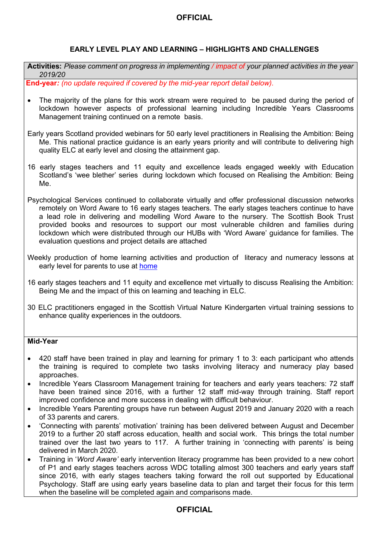### **EARLY LEVEL PLAY AND LEARNING – HIGHLIGHTS AND CHALLENGES**

**Activities:** *Please comment on progress in implementing / impact of your planned activities in the year 2019/20*

**End-year***: (no update required if covered by the mid-year report detail below).* 

• The majority of the plans for this work stream were required to be paused during the period of lockdown however aspects of professional learning including Incredible Years Classrooms Management training continued on a remote basis.

Early years Scotland provided webinars for 50 early level practitioners in Realising the Ambition: Being Me. This national practice guidance is an early years priority and will contribute to delivering high quality ELC at early level and closing the attainment gap.

- 16 early stages teachers and 11 equity and excellence leads engaged weekly with Education Scotland's 'wee blether' series during lockdown which focused on Realising the Ambition: Being Me.
- Psychological Services continued to collaborate virtually and offer professional discussion networks remotely on Word Aware to 16 early stages teachers. The early stages teachers continue to have a lead role in delivering and modelling Word Aware to the nursery. The Scottish Book Trust provided books and resources to support our most vulnerable children and families during lockdown which were distributed through our HUBs with 'Word Aware' guidance for families. The evaluation questions and project details are attached
- Weekly production of home learning activities and production of literacy and numeracy lessons at early level for parents to use at [home](https://sites.google.com/ourcloud.buzz/public/home-challenge-books?authuser=0)
- 16 early stages teachers and 11 equity and excellence met virtually to discuss Realising the Ambition: Being Me and the impact of this on learning and teaching in ELC.
- 30 ELC practitioners engaged in the Scottish Virtual Nature Kindergarten virtual training sessions to enhance quality experiences in the outdoors.

### **Mid-Year**

- 420 staff have been trained in play and learning for primary 1 to 3: each participant who attends the training is required to complete two tasks involving literacy and numeracy play based approaches.
- Incredible Years Classroom Management training for teachers and early years teachers: 72 staff have been trained since 2016, with a further 12 staff mid-way through training. Staff report improved confidence and more success in dealing with difficult behaviour.
- Incredible Years Parenting groups have run between August 2019 and January 2020 with a reach of 33 parents and carers.
- 'Connecting with parents' motivation' training has been delivered between August and December 2019 to a further 20 staff across education, health and social work. This brings the total number trained over the last two years to 117. A further training in 'connecting with parents' is being delivered in March 2020.
- Training in '*Word Aware'* early intervention literacy programme has been provided to a new cohort of P1 and early stages teachers across WDC totalling almost 300 teachers and early years staff since 2016, with early stages teachers taking forward the roll out supported by Educational Psychology. Staff are using early years baseline data to plan and target their focus for this term when the baseline will be completed again and comparisons made.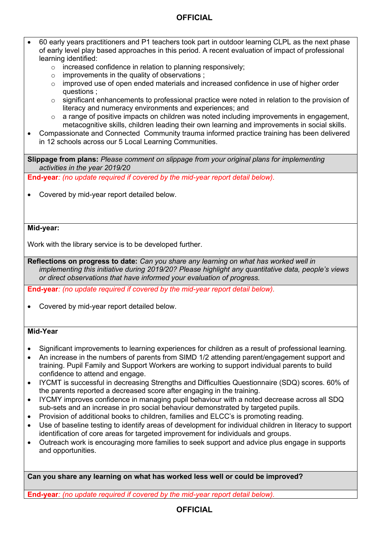- 60 early years practitioners and P1 teachers took part in outdoor learning CLPL as the next phase of early level play based approaches in this period. A recent evaluation of impact of professional learning identified:
	- o increased confidence in relation to planning responsively;
	- $\circ$  improvements in the quality of observations :
	- o improved use of open ended materials and increased confidence in use of higher order questions ;
	- $\circ$  significant enhancements to professional practice were noted in relation to the provision of literacy and numeracy environments and experiences; and
	- o a range of positive impacts on children was noted including improvements in engagement, metacognitive skills, children leading their own learning and improvements in social skills.
- Compassionate and Connected Community trauma informed practice training has been delivered in 12 schools across our 5 Local Learning Communities.

**Slippage from plans:** *Please comment on slippage from your original plans for implementing activities in the year 2019/20*

**End-year***: (no update required if covered by the mid-year report detail below).*

• Covered by mid-year report detailed below.

#### **Mid-year:**

Work with the library service is to be developed further.

**Reflections on progress to date:** *Can you share any learning on what has worked well in implementing this initiative during 2019/20? Please highlight any quantitative data, people's views or direct observations that have informed your evaluation of progress.*

**End-year***: (no update required if covered by the mid-year report detail below).* 

• Covered by mid-year report detailed below.

### **Mid-Year**

- Significant improvements to learning experiences for children as a result of professional learning.
- An increase in the numbers of parents from SIMD 1/2 attending parent/engagement support and training. Pupil Family and Support Workers are working to support individual parents to build confidence to attend and engage.
- IYCMT is successful in decreasing Strengths and Difficulties Questionnaire (SDQ) scores. 60% of the parents reported a decreased score after engaging in the training.
- IYCMY improves confidence in managing pupil behaviour with a noted decrease across all SDQ sub-sets and an increase in pro social behaviour demonstrated by targeted pupils.
- Provision of additional books to children, families and ELCC's is promoting reading.
- Use of baseline testing to identify areas of development for individual children in literacy to support identification of core areas for targeted improvement for individuals and groups.
- Outreach work is encouraging more families to seek support and advice plus engage in supports and opportunities.

**Can you share any learning on what has worked less well or could be improved?** 

**End-year***: (no update required if covered by the mid-year report detail below).*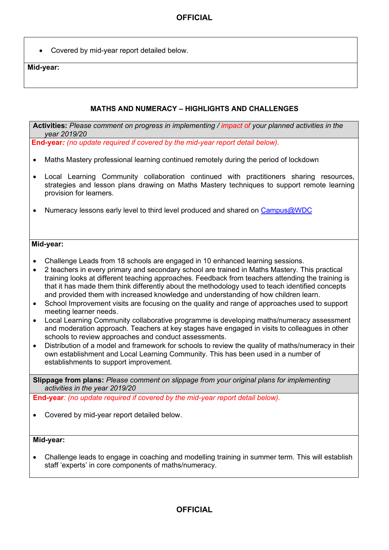• Covered by mid-year report detailed below.

#### **Mid-year:**

### **MATHS AND NUMERACY – HIGHLIGHTS AND CHALLENGES**

**Activities:** *Please comment on progress in implementing / impact of your planned activities in the year 2019/20*

**End-year***: (no update required if covered by the mid-year report detail below).*

- Maths Mastery professional learning continued remotely during the period of lockdown
- Local Learning Community collaboration continued with practitioners sharing resources, strategies and lesson plans drawing on Maths Mastery techniques to support remote learning provision for learners.
- Numeracy lessons early level to third level produced and shared on [Campus@WDC](https://sites.google.com/ourcloud.buzz/wdcvirtualschool/home)

#### **Mid-year:**

- Challenge Leads from 18 schools are engaged in 10 enhanced learning sessions.
- 2 teachers in every primary and secondary school are trained in Maths Mastery. This practical training looks at different teaching approaches. Feedback from teachers attending the training is that it has made them think differently about the methodology used to teach identified concepts and provided them with increased knowledge and understanding of how children learn.
- School Improvement visits are focusing on the quality and range of approaches used to support meeting learner needs.
- Local Learning Community collaborative programme is developing maths/numeracy assessment and moderation approach. Teachers at key stages have engaged in visits to colleagues in other schools to review approaches and conduct assessments.
- Distribution of a model and framework for schools to review the quality of maths/numeracy in their own establishment and Local Learning Community. This has been used in a number of establishments to support improvement.

**Slippage from plans:** *Please comment on slippage from your original plans for implementing activities in the year 2019/20*

**End-year***: (no update required if covered by the mid-year report detail below).* 

• Covered by mid-year report detailed below.

#### **Mid-year:**

• Challenge leads to engage in coaching and modelling training in summer term. This will establish staff 'experts' in core components of maths/numeracy.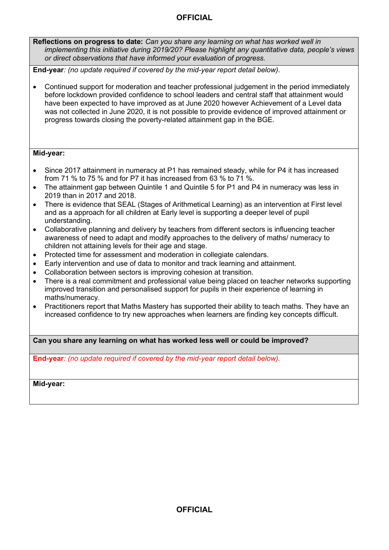**Reflections on progress to date:** *Can you share any learning on what has worked well in implementing this initiative during 2019/20? Please highlight any quantitative data, people's views or direct observations that have informed your evaluation of progress.*

**End-year***: (no update required if covered by the mid-year report detail below).* 

• Continued support for moderation and teacher professional judgement in the period immediately before lockdown provided confidence to school leaders and central staff that attainment would have been expected to have improved as at June 2020 however Achievement of a Level data was not collected in June 2020, it is not possible to provide evidence of improved attainment or progress towards closing the poverty-related attainment gap in the BGE.

### **Mid-year:**

- Since 2017 attainment in numeracy at P1 has remained steady, while for P4 it has increased from 71 % to 75 % and for P7 it has increased from 63 % to 71 %.
- The attainment gap between Quintile 1 and Quintile 5 for P1 and P4 in numeracy was less in 2019 than in 2017 and 2018.
- There is evidence that SEAL (Stages of Arithmetical Learning) as an intervention at First level and as a approach for all children at Early level is supporting a deeper level of pupil understanding.
- Collaborative planning and delivery by teachers from different sectors is influencing teacher awareness of need to adapt and modify approaches to the delivery of maths/ numeracy to children not attaining levels for their age and stage.
- Protected time for assessment and moderation in collegiate calendars.
- Early intervention and use of data to monitor and track learning and attainment.
- Collaboration between sectors is improving cohesion at transition.
- There is a real commitment and professional value being placed on teacher networks supporting improved transition and personalised support for pupils in their experience of learning in maths/numeracy.
- Practitioners report that Maths Mastery has supported their ability to teach maths. They have an increased confidence to try new approaches when learners are finding key concepts difficult.

**Can you share any learning on what has worked less well or could be improved?** 

**End-year***: (no update required if covered by the mid-year report detail below).* 

**Mid-year:**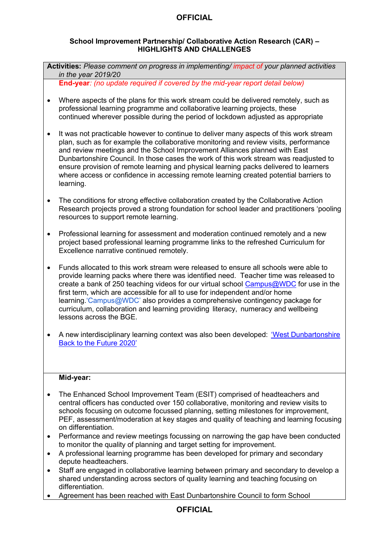### **School Improvement Partnership/ Collaborative Action Research (CAR) – HIGHLIGHTS AND CHALLENGES**

**Activities:** *Please comment on progress in implementing/ impact of your planned activities in the year 2019/20*

**End-year***: (no update required if covered by the mid-year report detail below)* 

- Where aspects of the plans for this work stream could be delivered remotely, such as professional learning programme and collaborative learning projects, these continued wherever possible during the period of lockdown adjusted as appropriate
- It was not practicable however to continue to deliver many aspects of this work stream plan, such as for example the collaborative monitoring and review visits, performance and review meetings and the School Improvement Alliances planned with East Dunbartonshire Council. In those cases the work of this work stream was readjusted to ensure provision of remote learning and physical learning packs delivered to learners where access or confidence in accessing remote learning created potential barriers to learning.
- The conditions for strong effective collaboration created by the Collaborative Action Research projects proved a strong foundation for school leader and practitioners 'pooling resources to support remote learning.
- Professional learning for assessment and moderation continued remotely and a new project based professional learning programme links to the refreshed Curriculum for Excellence narrative continued remotely.
- Funds allocated to this work stream were released to ensure all schools were able to provide learning packs where there was identified need. Teacher time was released to create a bank of 250 teaching videos for our virtual school [Campus@WDC](https://sites.google.com/ourcloud.buzz/wdcvirtualschool/home) for use in the first term, which are accessible for all to use for independent and/or home learning.['Campus@WDC'](https://sites.google.com/ourcloud.buzz/wdcvirtualschool/home) also provides a comprehensive contingency package for curriculum, collaboration and learning providing literacy, numeracy and wellbeing lessons across the BGE.
- A new interdisciplinary learning context was also been developed: '[West Dunbartonshire](https://youtu.be/Y0fijYHNl24)' [Back to the Future 2020](https://youtu.be/Y0fijYHNl24)'

### **Mid-year:**

- The Enhanced School Improvement Team (ESIT) comprised of headteachers and central officers has conducted over 150 collaborative, monitoring and review visits to schools focusing on outcome focussed planning, setting milestones for improvement, PEF, assessment/moderation at key stages and quality of teaching and learning focusing on differentiation.
- Performance and review meetings focussing on narrowing the gap have been conducted to monitor the quality of planning and target setting for improvement.
- A professional learning programme has been developed for primary and secondary depute headteachers.
- Staff are engaged in collaborative learning between primary and secondary to develop a shared understanding across sectors of quality learning and teaching focusing on differentiation.
- Agreement has been reached with East Dunbartonshire Council to form School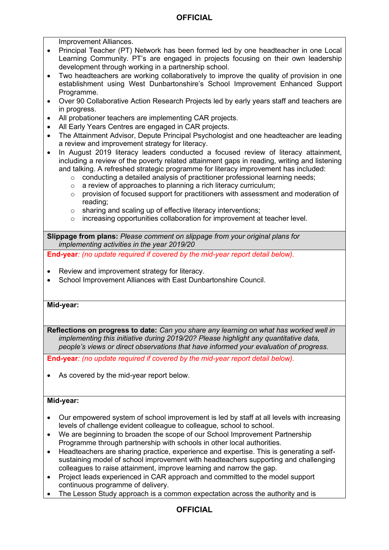Improvement Alliances.

- Principal Teacher (PT) Network has been formed led by one headteacher in one Local Learning Community. PT's are engaged in projects focusing on their own leadership development through working in a partnership school.
- Two headteachers are working collaboratively to improve the quality of provision in one establishment using West Dunbartonshire's School Improvement Enhanced Support Programme.
- Over 90 Collaborative Action Research Projects led by early years staff and teachers are in progress.
- All probationer teachers are implementing CAR projects.
- All Early Years Centres are engaged in CAR projects.
- The Attainment Advisor, Depute Principal Psychologist and one headteacher are leading a review and improvement strategy for literacy.
- In August 2019 literacy leaders conducted a focused review of literacy attainment, including a review of the poverty related attainment gaps in reading, writing and listening and talking. A refreshed strategic programme for literacy improvement has included:
	- o conducting a detailed analysis of practitioner professional learning needs;
	- o a review of approaches to planning a rich literacy curriculum;
	- $\circ$  provision of focused support for practitioners with assessment and moderation of reading;
	- o sharing and scaling up of effective literacy interventions;
	- o increasing opportunities collaboration for improvement at teacher level.

**Slippage from plans:** *Please comment on slippage from your original plans for implementing activities in the year 2019/20*

**End-year***: (no update required if covered by the mid-year report detail below).* 

- Review and improvement strategy for literacy.
- School Improvement Alliances with East Dunbartonshire Council.

#### **Mid-year:**

**Reflections on progress to date:** *Can you share any learning on what has worked well in implementing this initiative during 2019/20? Please highlight any quantitative data, people's views or direct observations that have informed your evaluation of progress.* 

**End-year***: (no update required if covered by the mid-year report detail below).* 

• As covered by the mid-year report below.

### **Mid-year:**

- Our empowered system of school improvement is led by staff at all levels with increasing levels of challenge evident colleague to colleague, school to school.
- We are beginning to broaden the scope of our School Improvement Partnership Programme through partnership with schools in other local authorities.
- Headteachers are sharing practice, experience and expertise. This is generating a selfsustaining model of school improvement with headteachers supporting and challenging colleagues to raise attainment, improve learning and narrow the gap.
- Project leads experienced in CAR approach and committed to the model support continuous programme of delivery.
- The Lesson Study approach is a common expectation across the authority and is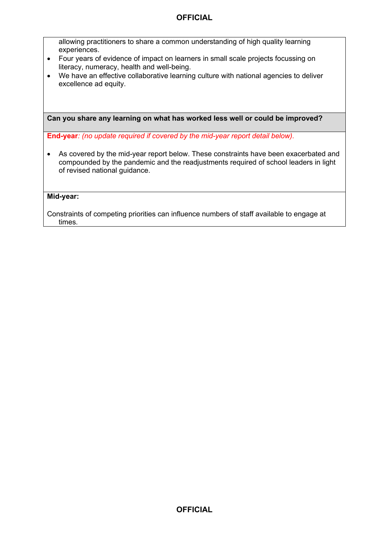allowing practitioners to share a common understanding of high quality learning experiences.

- Four years of evidence of impact on learners in small scale projects focussing on literacy, numeracy, health and well-being.
- We have an effective collaborative learning culture with national agencies to deliver excellence ad equity.

**Can you share any learning on what has worked less well or could be improved?** 

**End-year***: (no update required if covered by the mid-year report detail below).* 

• As covered by the mid-year report below. These constraints have been exacerbated and compounded by the pandemic and the readjustments required of school leaders in light of revised national guidance.

**Mid-year:** 

Constraints of competing priorities can influence numbers of staff available to engage at times.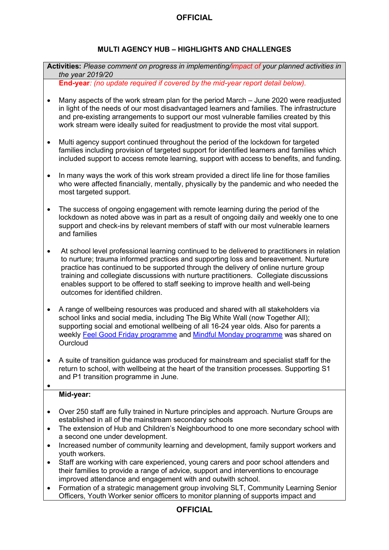# **MULTI AGENCY HUB – HIGHLIGHTS AND CHALLENGES**

**Activities:** *Please comment on progress in implementing/impact of your planned activities in the year 2019/20*

**End-year***: (no update required if covered by the mid-year report detail below).* 

- Many aspects of the work stream plan for the period March June 2020 were readjusted in light of the needs of our most disadvantaged learners and families. The infrastructure and pre-existing arrangements to support our most vulnerable families created by this work stream were ideally suited for readjustment to provide the most vital support.
- Multi agency support continued throughout the period of the lockdown for targeted families including provision of targeted support for identified learners and families which included support to access remote learning, support with access to benefits, and funding.
- In many ways the work of this work stream provided a direct life line for those families who were affected financially, mentally, physically by the pandemic and who needed the most targeted support.
- The success of ongoing engagement with remote learning during the period of the lockdown as noted above was in part as a result of ongoing daily and weekly one to one support and check-ins by relevant members of staff with our most vulnerable learners and families
- At school level professional learning continued to be delivered to practitioners in relation to nurture; trauma informed practices and supporting loss and bereavement. Nurture practice has continued to be supported through the delivery of online nurture group training and collegiate discussions with nurture practitioners. Collegiate discussions enables support to be offered to staff seeking to improve health and well-being outcomes for identified children.
- A range of wellbeing resources was produced and shared with all stakeholders via school links and social media, including The Big White Wall (now Together All); supporting social and emotional wellbeing of all 16-24 year olds. Also for parents a weekly [Feel Good Friday programme](https://sites.google.com/ourcloud.buzz/public/feel-good-fridays) and [Mindful Monday programme](https://sites.google.com/ourcloud.buzz/public/mindful-mondays) was shared on **Ourcloud**
- A suite of transition guidance was produced for mainstream and specialist staff for the return to school, with wellbeing at the heart of the transition processes. Supporting S1 and P1 transition programme in June.

## **Mid-year:**

 $\bullet$ 

- Over 250 staff are fully trained in Nurture principles and approach. Nurture Groups are established in all of the mainstream secondary schools
- The extension of Hub and Children's Neighbourhood to one more secondary school with a second one under development.
- Increased number of community learning and development, family support workers and youth workers.
- Staff are working with care experienced, young carers and poor school attenders and their families to provide a range of advice, support and interventions to encourage improved attendance and engagement with and outwith school.
- Formation of a strategic management group involving SLT, Community Learning Senior Officers, Youth Worker senior officers to monitor planning of supports impact and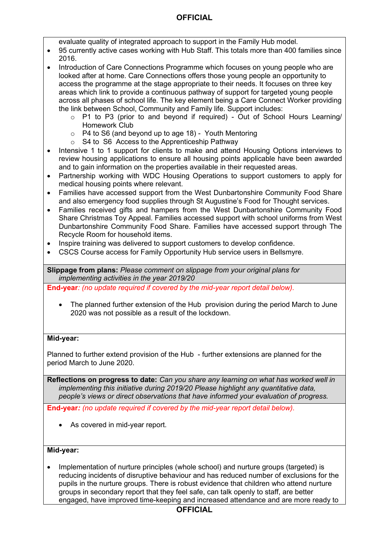evaluate quality of integrated approach to support in the Family Hub model.

- 95 currently active cases working with Hub Staff. This totals more than 400 families since 2016.
- Introduction of Care Connections Programme which focuses on young people who are looked after at home. Care Connections offers those young people an opportunity to access the programme at the stage appropriate to their needs. It focuses on three key areas which link to provide a continuous pathway of support for targeted young people across all phases of school life. The key element being a Care Connect Worker providing the link between School, Community and Family life. Support includes:
	- o P1 to P3 (prior to and beyond if required) Out of School Hours Learning/ Homework Club
	- $\circ$  P4 to S6 (and beyond up to age 18) Youth Mentoring
	- o S4 to S6 Access to the Apprenticeship Pathway
- Intensive 1 to 1 support for clients to make and attend Housing Options interviews to review housing applications to ensure all housing points applicable have been awarded and to gain information on the properties available in their requested areas.
- Partnership working with WDC Housing Operations to support customers to apply for medical housing points where relevant.
- Families have accessed support from the West Dunbartonshire Community Food Share and also emergency food supplies through St Augustine's Food for Thought services.
- Families received gifts and hampers from the West Dunbartonshire Community Food Share Christmas Toy Appeal. Families accessed support with school uniforms from West Dunbartonshire Community Food Share. Families have accessed support through The Recycle Room for household items.
- Inspire training was delivered to support customers to develop confidence.
- CSCS Course access for Family Opportunity Hub service users in Bellsmyre.

**Slippage from plans:** *Please comment on slippage from your original plans for implementing activities in the year 2019/20*

**End-year***: (no update required if covered by the mid-year report detail below).* 

• The planned further extension of the Hub provision during the period March to June 2020 was not possible as a result of the lockdown.

### **Mid-year:**

Planned to further extend provision of the Hub - further extensions are planned for the period March to June 2020.

**Reflections on progress to date:** *Can you share any learning on what has worked well in implementing this initiative during 2019/20 Please highlight any quantitative data, people's views or direct observations that have informed your evaluation of progress.*

**End-year***: (no update required if covered by the mid-year report detail below).* 

• As covered in mid-year report.

#### **Mid-year:**

• Implementation of nurture principles (whole school) and nurture groups (targeted) is reducing incidents of disruptive behaviour and has reduced number of exclusions for the pupils in the nurture groups. There is robust evidence that children who attend nurture groups in secondary report that they feel safe, can talk openly to staff, are better engaged, have improved time-keeping and increased attendance and are more ready to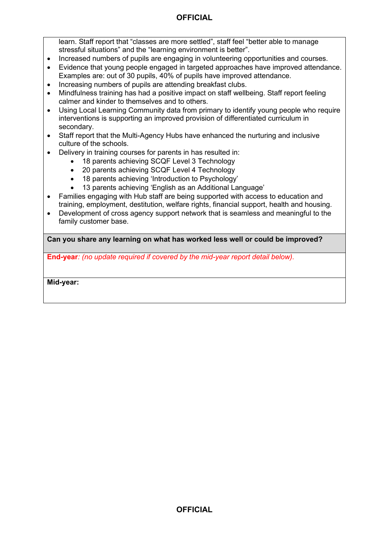learn. Staff report that "classes are more settled", staff feel "better able to manage stressful situations" and the "learning environment is better".

- Increased numbers of pupils are engaging in volunteering opportunities and courses.
- Evidence that young people engaged in targeted approaches have improved attendance. Examples are: out of 30 pupils, 40% of pupils have improved attendance.
- Increasing numbers of pupils are attending breakfast clubs.
- Mindfulness training has had a positive impact on staff wellbeing. Staff report feeling calmer and kinder to themselves and to others.
- Using Local Learning Community data from primary to identify young people who require interventions is supporting an improved provision of differentiated curriculum in secondary.
- Staff report that the Multi-Agency Hubs have enhanced the nurturing and inclusive culture of the schools.
- Delivery in training courses for parents in has resulted in:
	- 18 parents achieving SCQF Level 3 Technology
	- 20 parents achieving SCQF Level 4 Technology
	- 18 parents achieving 'Introduction to Psychology'
	- 13 parents achieving 'English as an Additional Language'
- Families engaging with Hub staff are being supported with access to education and training, employment, destitution, welfare rights, financial support, health and housing.
- Development of cross agency support network that is seamless and meaningful to the family customer base.

**Can you share any learning on what has worked less well or could be improved?** 

**End-year***: (no update required if covered by the mid-year report detail below).* 

**Mid-year:**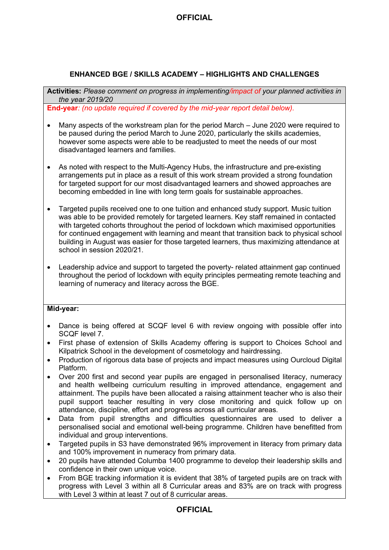### **ENHANCED BGE / SKILLS ACADEMY – HIGHLIGHTS AND CHALLENGES**

**Activities:** *Please comment on progress in implementing/impact of your planned activities in the year 2019/20*

**End-year***: (no update required if covered by the mid-year report detail below).* 

- Many aspects of the workstream plan for the period March June 2020 were required to be paused during the period March to June 2020, particularly the skills academies, however some aspects were able to be readjusted to meet the needs of our most disadvantaged learners and families.
- As noted with respect to the Multi-Agency Hubs, the infrastructure and pre-existing arrangements put in place as a result of this work stream provided a strong foundation for targeted support for our most disadvantaged learners and showed approaches are becoming embedded in line with long term goals for sustainable approaches.
- Targeted pupils received one to one tuition and enhanced study support. Music tuition was able to be provided remotely for targeted learners. Key staff remained in contacted with targeted cohorts throughout the period of lockdown which maximised opportunities for continued engagement with learning and meant that transition back to physical school building in August was easier for those targeted learners, thus maximizing attendance at school in session 2020/21.
- Leadership advice and support to targeted the poverty- related attainment gap continued throughout the period of lockdown with equity principles permeating remote teaching and learning of numeracy and literacy across the BGE.

### **Mid-year:**

- Dance is being offered at SCQF level 6 with review ongoing with possible offer into SCQF level 7.
- First phase of extension of Skills Academy offering is support to Choices School and Kilpatrick School in the development of cosmetology and hairdressing.
- Production of rigorous data base of projects and impact measures using Ourcloud Digital Platform.
- Over 200 first and second year pupils are engaged in personalised literacy, numeracy and health wellbeing curriculum resulting in improved attendance, engagement and attainment. The pupils have been allocated a raising attainment teacher who is also their pupil support teacher resulting in very close monitoring and quick follow up on attendance, discipline, effort and progress across all curricular areas.
- Data from pupil strengths and difficulties questionnaires are used to deliver a personalised social and emotional well-being programme. Children have benefitted from individual and group interventions.
- Targeted pupils in S3 have demonstrated 96% improvement in literacy from primary data and 100% improvement in numeracy from primary data.
- 20 pupils have attended Columba 1400 programme to develop their leadership skills and confidence in their own unique voice.
- From BGE tracking information it is evident that 38% of targeted pupils are on track with progress with Level 3 within all 8 Curricular areas and 83% are on track with progress with Level 3 within at least 7 out of 8 curricular areas.